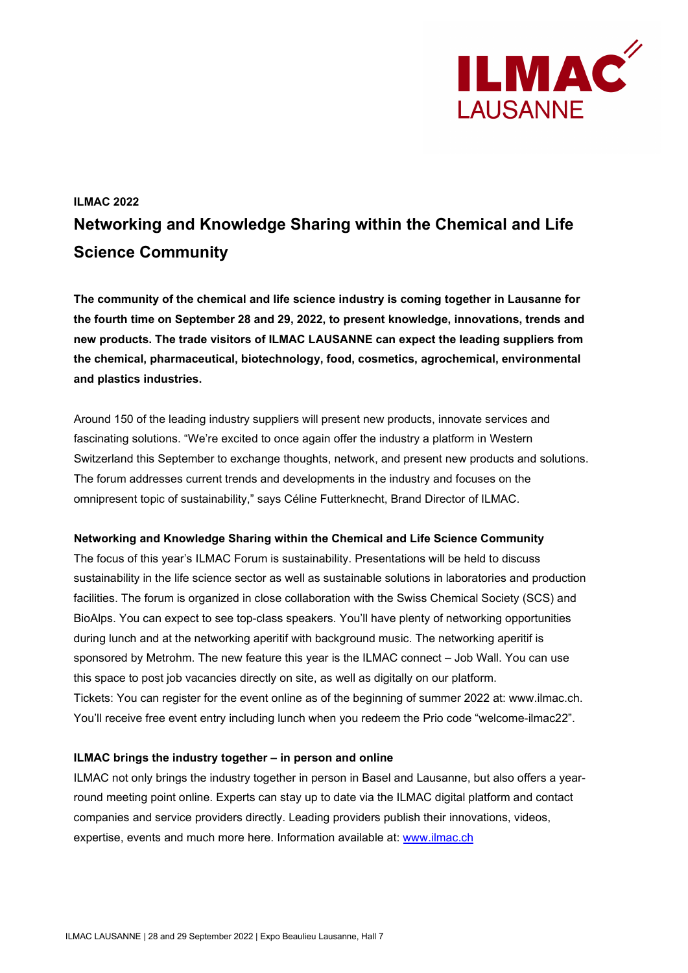

# **ILMAC 2022 Networking and Knowledge Sharing within the Chemical and Life Science Community**

**The community of the chemical and life science industry is coming together in Lausanne for the fourth time on September 28 and 29, 2022, to present knowledge, innovations, trends and new products. The trade visitors of ILMAC LAUSANNE can expect the leading suppliers from the chemical, pharmaceutical, biotechnology, food, cosmetics, agrochemical, environmental and plastics industries.**

Around 150 of the leading industry suppliers will present new products, innovate services and fascinating solutions. "We're excited to once again offer the industry a platform in Western Switzerland this September to exchange thoughts, network, and present new products and solutions. The forum addresses current trends and developments in the industry and focuses on the omnipresent topic of sustainability," says Céline Futterknecht, Brand Director of ILMAC.

### **Networking and Knowledge Sharing within the Chemical and Life Science Community**

The focus of this year's ILMAC Forum is sustainability. Presentations will be held to discuss sustainability in the life science sector as well as sustainable solutions in laboratories and production facilities. The forum is organized in close collaboration with the Swiss Chemical Society (SCS) and BioAlps. You can expect to see top-class speakers. You'll have plenty of networking opportunities during lunch and at the networking aperitif with background music. The networking aperitif is sponsored by Metrohm. The new feature this year is the ILMAC connect – Job Wall. You can use this space to post job vacancies directly on site, as well as digitally on our platform. Tickets: You can register for the event online as of the beginning of summer 2022 at: www.ilmac.ch. You'll receive free event entry including lunch when you redeem the Prio code "welcome-ilmac22".

### **ILMAC brings the industry together – in person and online**

ILMAC not only brings the industry together in person in Basel and Lausanne, but also offers a yearround meeting point online. Experts can stay up to date via the ILMAC digital platform and contact companies and service providers directly. Leading providers publish their innovations, videos, expertise, events and much more here. Information available at: [www.ilmac.ch](http://www.ilmac.ch/)